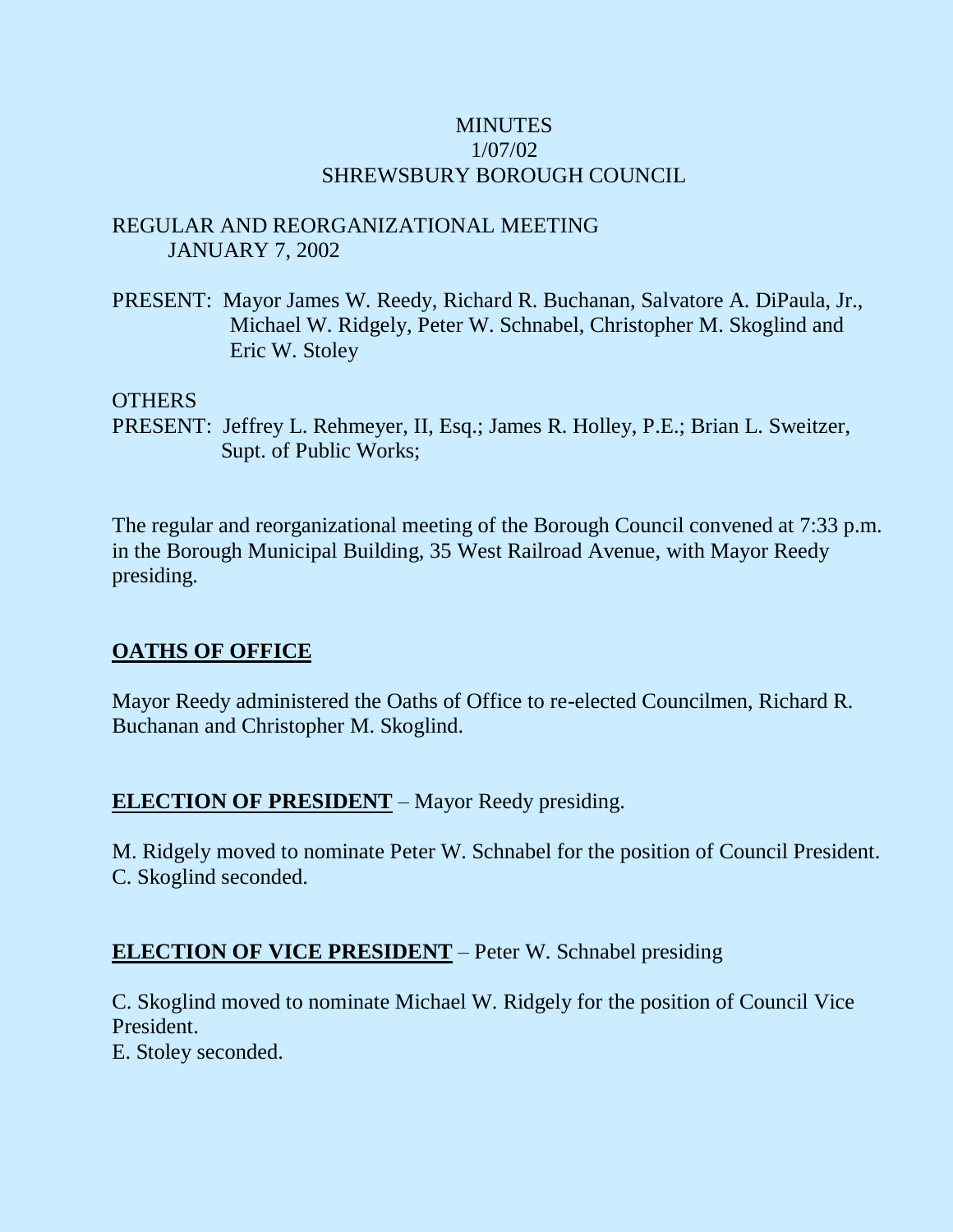## **MINUTES** 1/07/02 SHREWSBURY BOROUGH COUNCIL

## REGULAR AND REORGANIZATIONAL MEETING JANUARY 7, 2002

PRESENT: Mayor James W. Reedy, Richard R. Buchanan, Salvatore A. DiPaula, Jr., Michael W. Ridgely, Peter W. Schnabel, Christopher M. Skoglind and Eric W. Stoley

#### OTHERS

PRESENT: Jeffrey L. Rehmeyer, II, Esq.; James R. Holley, P.E.; Brian L. Sweitzer, Supt. of Public Works;

The regular and reorganizational meeting of the Borough Council convened at 7:33 p.m. in the Borough Municipal Building, 35 West Railroad Avenue, with Mayor Reedy presiding.

## **OATHS OF OFFICE**

Mayor Reedy administered the Oaths of Office to re-elected Councilmen, Richard R. Buchanan and Christopher M. Skoglind.

## **ELECTION OF PRESIDENT** – Mayor Reedy presiding.

M. Ridgely moved to nominate Peter W. Schnabel for the position of Council President. C. Skoglind seconded.

## **ELECTION OF VICE PRESIDENT** – Peter W. Schnabel presiding

C. Skoglind moved to nominate Michael W. Ridgely for the position of Council Vice President.

E. Stoley seconded.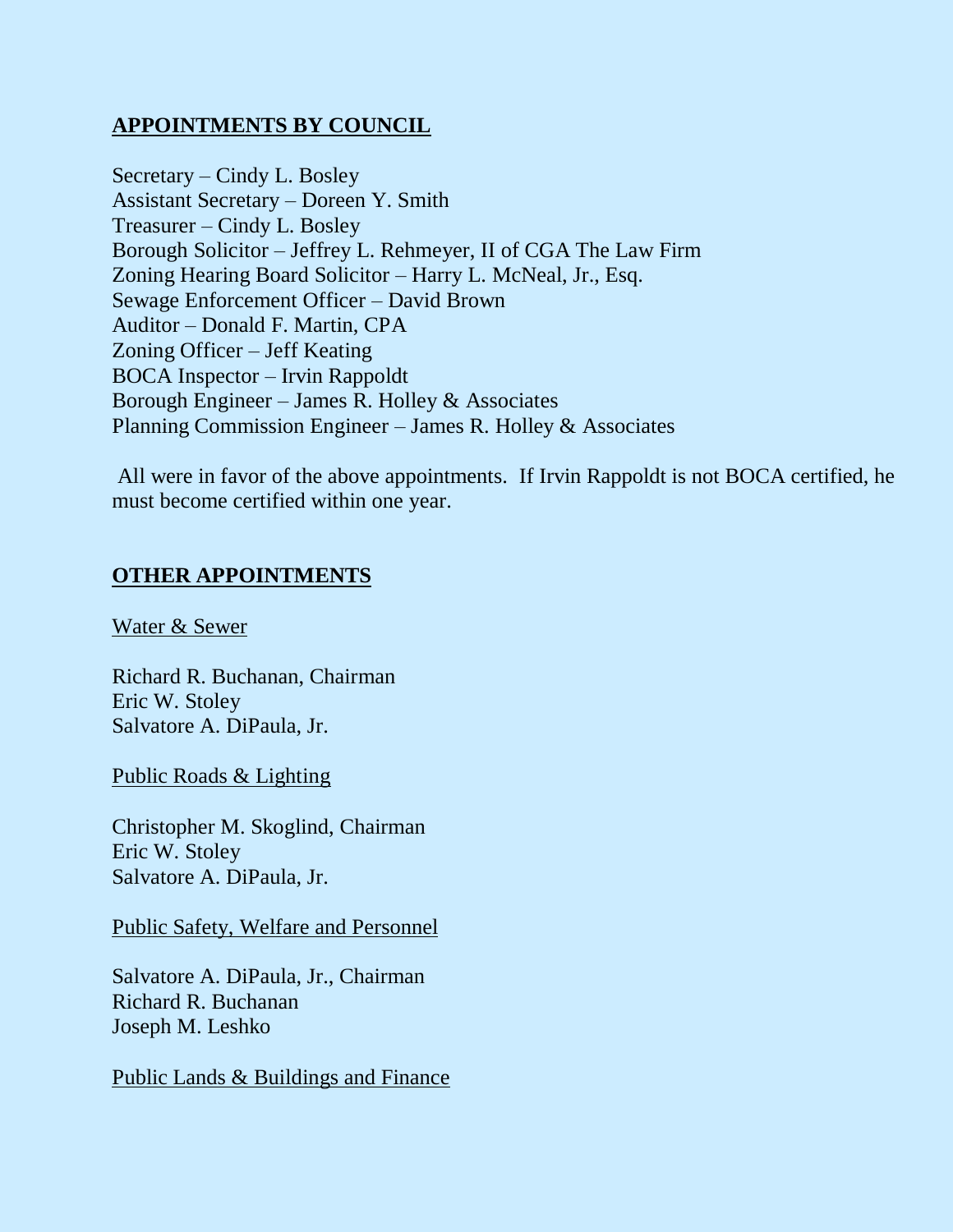## **APPOINTMENTS BY COUNCIL**

Secretary – Cindy L. Bosley Assistant Secretary – Doreen Y. Smith Treasurer – Cindy L. Bosley Borough Solicitor – Jeffrey L. Rehmeyer, II of CGA The Law Firm Zoning Hearing Board Solicitor – Harry L. McNeal, Jr., Esq. Sewage Enforcement Officer – David Brown Auditor – Donald F. Martin, CPA Zoning Officer – Jeff Keating BOCA Inspector – Irvin Rappoldt Borough Engineer – James R. Holley & Associates Planning Commission Engineer – James R. Holley & Associates

All were in favor of the above appointments. If Irvin Rappoldt is not BOCA certified, he must become certified within one year.

## **OTHER APPOINTMENTS**

Water & Sewer

Richard R. Buchanan, Chairman Eric W. Stoley Salvatore A. DiPaula, Jr.

Public Roads & Lighting

Christopher M. Skoglind, Chairman Eric W. Stoley Salvatore A. DiPaula, Jr.

Public Safety, Welfare and Personnel

Salvatore A. DiPaula, Jr., Chairman Richard R. Buchanan Joseph M. Leshko

Public Lands & Buildings and Finance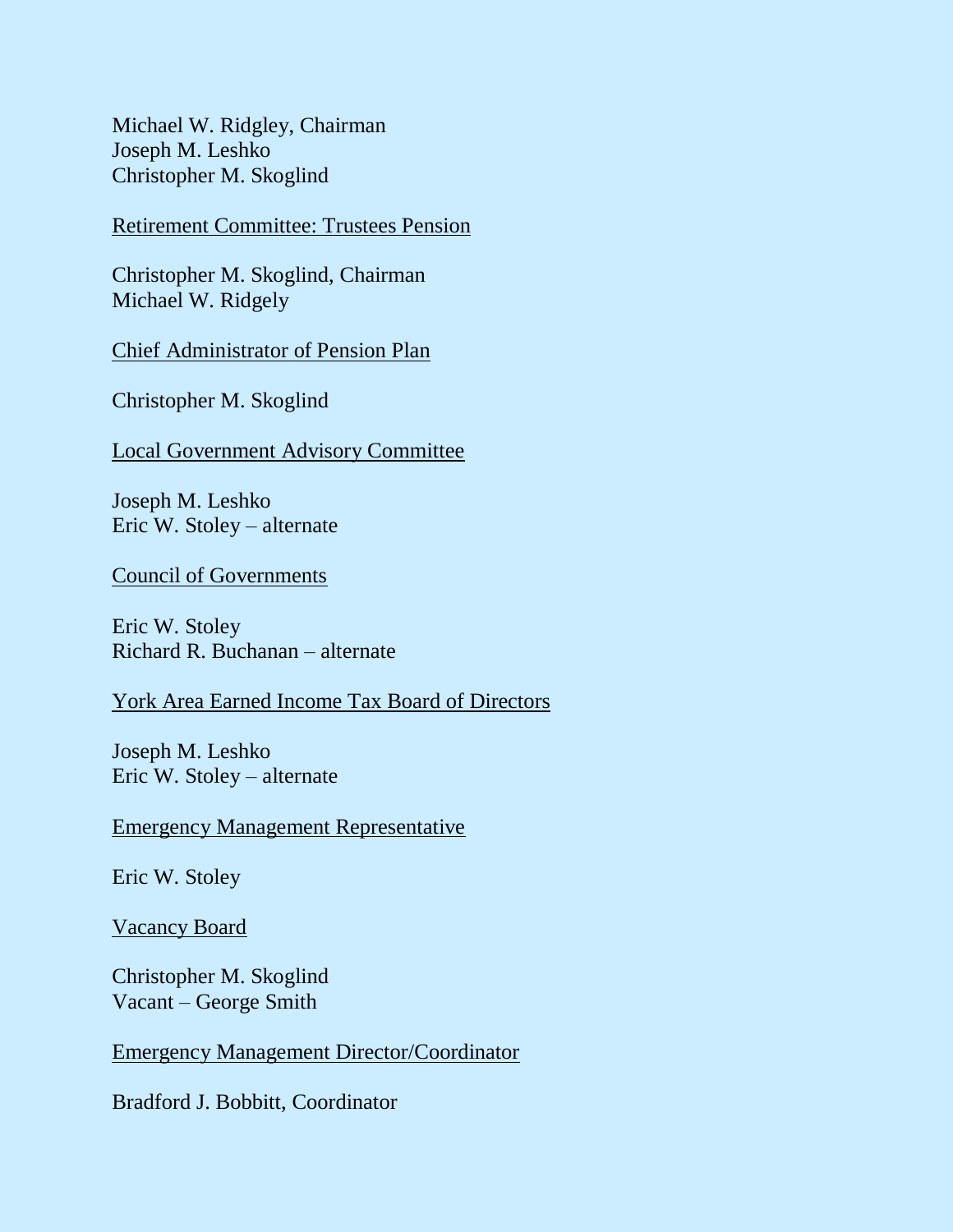Michael W. Ridgley, Chairman Joseph M. Leshko Christopher M. Skoglind

Retirement Committee: Trustees Pension

Christopher M. Skoglind, Chairman Michael W. Ridgely

Chief Administrator of Pension Plan

Christopher M. Skoglind

Local Government Advisory Committee

Joseph M. Leshko Eric W. Stoley – alternate

Council of Governments

Eric W. Stoley Richard R. Buchanan – alternate

#### York Area Earned Income Tax Board of Directors

Joseph M. Leshko Eric W. Stoley – alternate

Emergency Management Representative

Eric W. Stoley

Vacancy Board

Christopher M. Skoglind Vacant – George Smith

Emergency Management Director/Coordinator

Bradford J. Bobbitt, Coordinator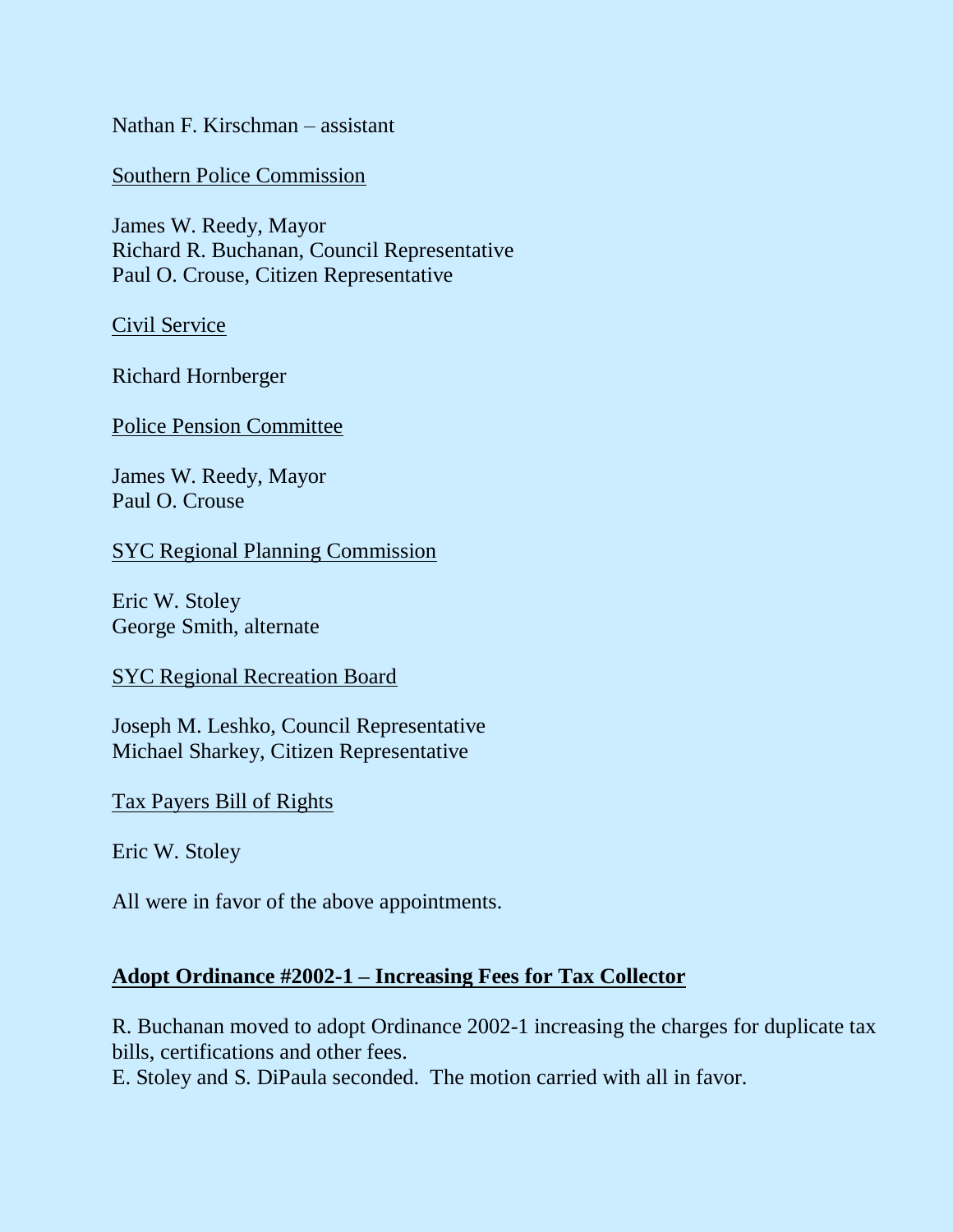Nathan F. Kirschman – assistant

Southern Police Commission

James W. Reedy, Mayor Richard R. Buchanan, Council Representative Paul O. Crouse, Citizen Representative

Civil Service

Richard Hornberger

Police Pension Committee

James W. Reedy, Mayor Paul O. Crouse

SYC Regional Planning Commission

Eric W. Stoley George Smith, alternate

SYC Regional Recreation Board

Joseph M. Leshko, Council Representative Michael Sharkey, Citizen Representative

Tax Payers Bill of Rights

Eric W. Stoley

All were in favor of the above appointments.

#### **Adopt Ordinance #2002-1 – Increasing Fees for Tax Collector**

R. Buchanan moved to adopt Ordinance 2002-1 increasing the charges for duplicate tax bills, certifications and other fees.

E. Stoley and S. DiPaula seconded. The motion carried with all in favor.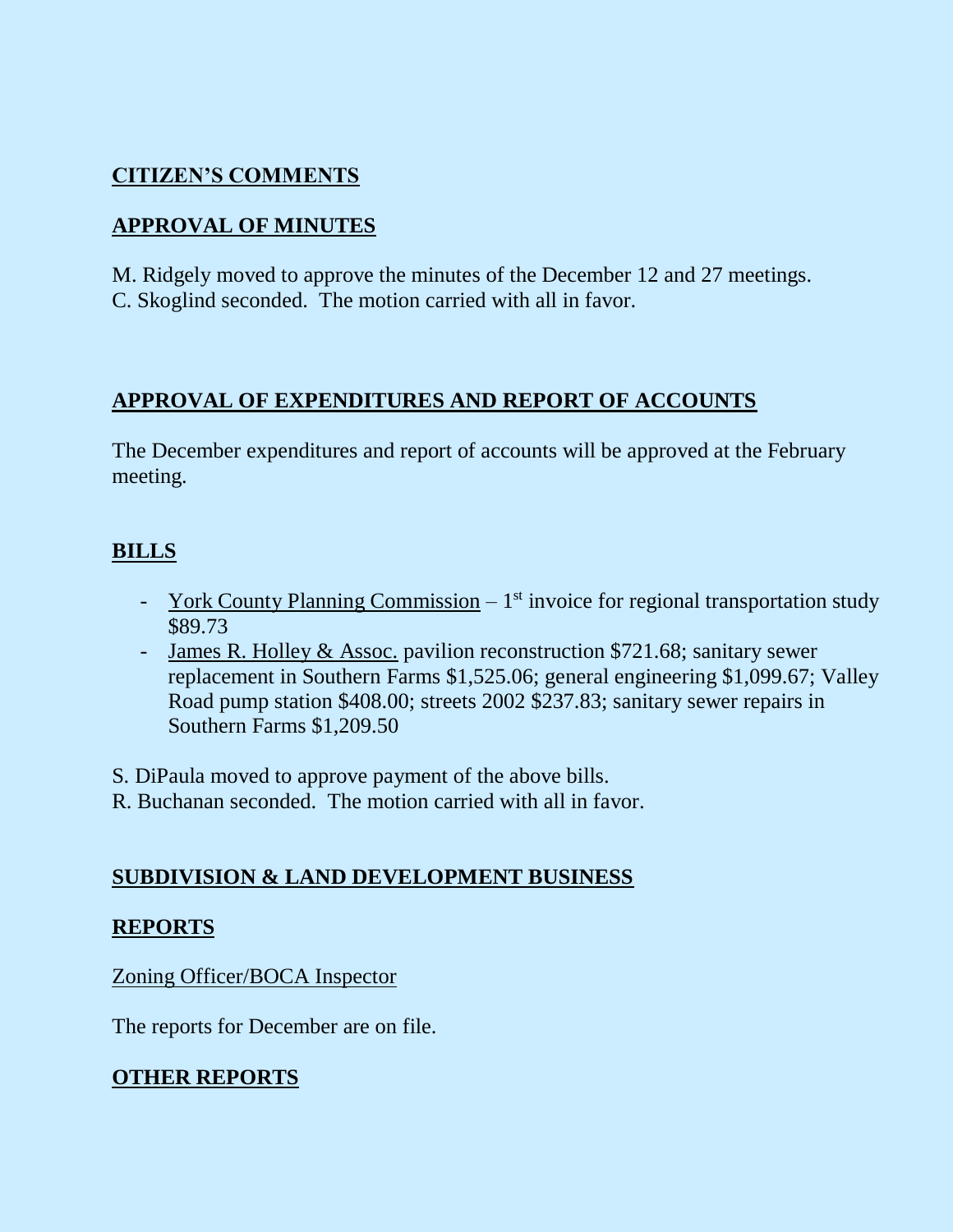# **CITIZEN'S COMMENTS**

# **APPROVAL OF MINUTES**

M. Ridgely moved to approve the minutes of the December 12 and 27 meetings. C. Skoglind seconded. The motion carried with all in favor.

# **APPROVAL OF EXPENDITURES AND REPORT OF ACCOUNTS**

The December expenditures and report of accounts will be approved at the February meeting.

# **BILLS**

- York County Planning Commission  $-1^{st}$  invoice for regional transportation study \$89.73
- James R. Holley & Assoc. pavilion reconstruction \$721.68; sanitary sewer replacement in Southern Farms \$1,525.06; general engineering \$1,099.67; Valley Road pump station \$408.00; streets 2002 \$237.83; sanitary sewer repairs in Southern Farms \$1,209.50

S. DiPaula moved to approve payment of the above bills.

R. Buchanan seconded. The motion carried with all in favor.

## **SUBDIVISION & LAND DEVELOPMENT BUSINESS**

## **REPORTS**

## Zoning Officer/BOCA Inspector

The reports for December are on file.

# **OTHER REPORTS**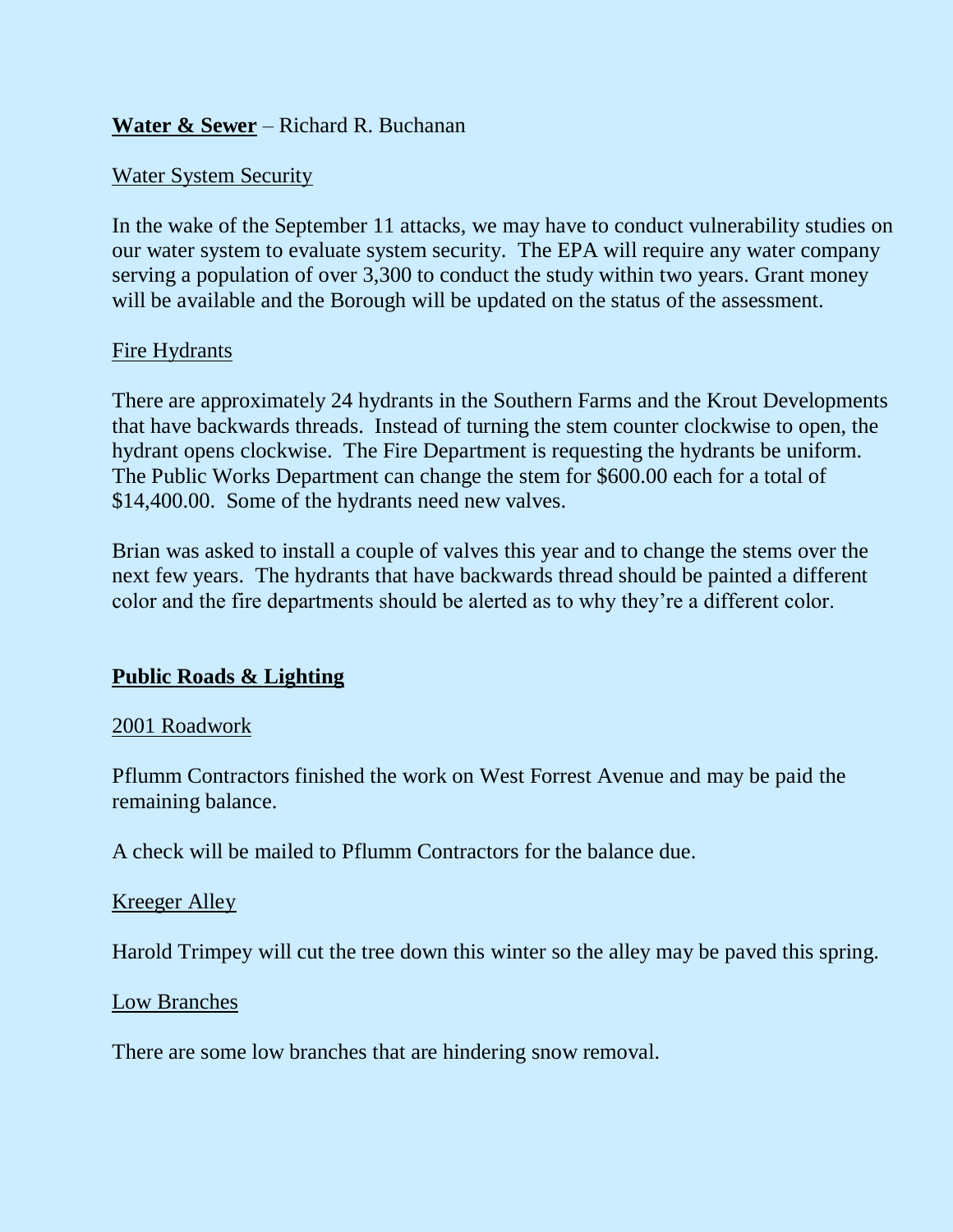## **Water & Sewer** – Richard R. Buchanan

## Water System Security

In the wake of the September 11 attacks, we may have to conduct vulnerability studies on our water system to evaluate system security. The EPA will require any water company serving a population of over 3,300 to conduct the study within two years. Grant money will be available and the Borough will be updated on the status of the assessment.

#### Fire Hydrants

There are approximately 24 hydrants in the Southern Farms and the Krout Developments that have backwards threads. Instead of turning the stem counter clockwise to open, the hydrant opens clockwise. The Fire Department is requesting the hydrants be uniform. The Public Works Department can change the stem for \$600.00 each for a total of \$14,400.00. Some of the hydrants need new valves.

Brian was asked to install a couple of valves this year and to change the stems over the next few years. The hydrants that have backwards thread should be painted a different color and the fire departments should be alerted as to why they're a different color.

## **Public Roads & Lighting**

#### 2001 Roadwork

Pflumm Contractors finished the work on West Forrest Avenue and may be paid the remaining balance.

A check will be mailed to Pflumm Contractors for the balance due.

#### Kreeger Alley

Harold Trimpey will cut the tree down this winter so the alley may be paved this spring.

Low Branches

There are some low branches that are hindering snow removal.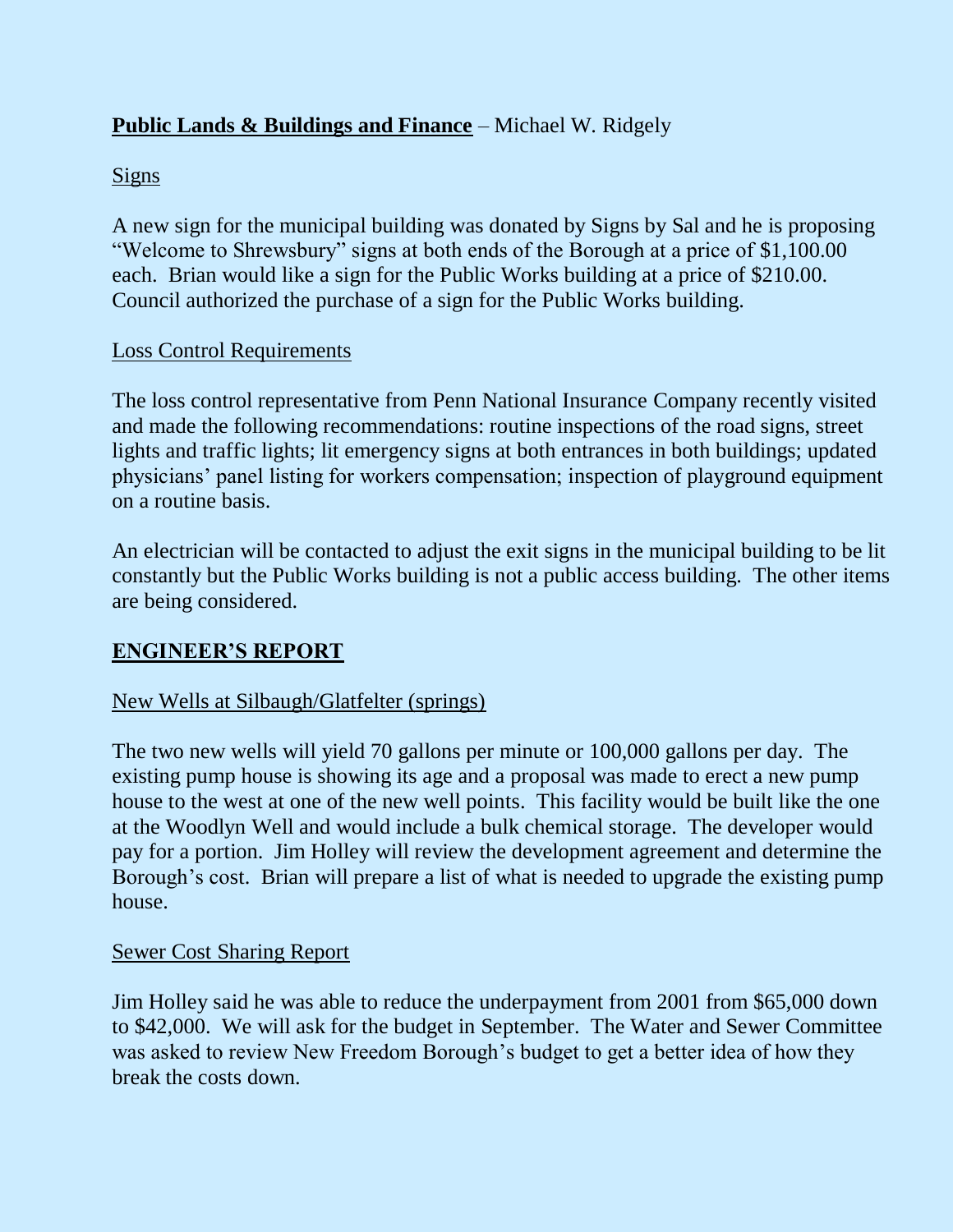# **Public Lands & Buildings and Finance** – Michael W. Ridgely

## Signs

A new sign for the municipal building was donated by Signs by Sal and he is proposing "Welcome to Shrewsbury" signs at both ends of the Borough at a price of \$1,100.00 each. Brian would like a sign for the Public Works building at a price of \$210.00. Council authorized the purchase of a sign for the Public Works building.

## Loss Control Requirements

The loss control representative from Penn National Insurance Company recently visited and made the following recommendations: routine inspections of the road signs, street lights and traffic lights; lit emergency signs at both entrances in both buildings; updated physicians' panel listing for workers compensation; inspection of playground equipment on a routine basis.

An electrician will be contacted to adjust the exit signs in the municipal building to be lit constantly but the Public Works building is not a public access building. The other items are being considered.

## **ENGINEER'S REPORT**

## New Wells at Silbaugh/Glatfelter (springs)

The two new wells will yield 70 gallons per minute or 100,000 gallons per day. The existing pump house is showing its age and a proposal was made to erect a new pump house to the west at one of the new well points. This facility would be built like the one at the Woodlyn Well and would include a bulk chemical storage. The developer would pay for a portion. Jim Holley will review the development agreement and determine the Borough's cost. Brian will prepare a list of what is needed to upgrade the existing pump house.

## Sewer Cost Sharing Report

Jim Holley said he was able to reduce the underpayment from 2001 from \$65,000 down to \$42,000. We will ask for the budget in September. The Water and Sewer Committee was asked to review New Freedom Borough's budget to get a better idea of how they break the costs down.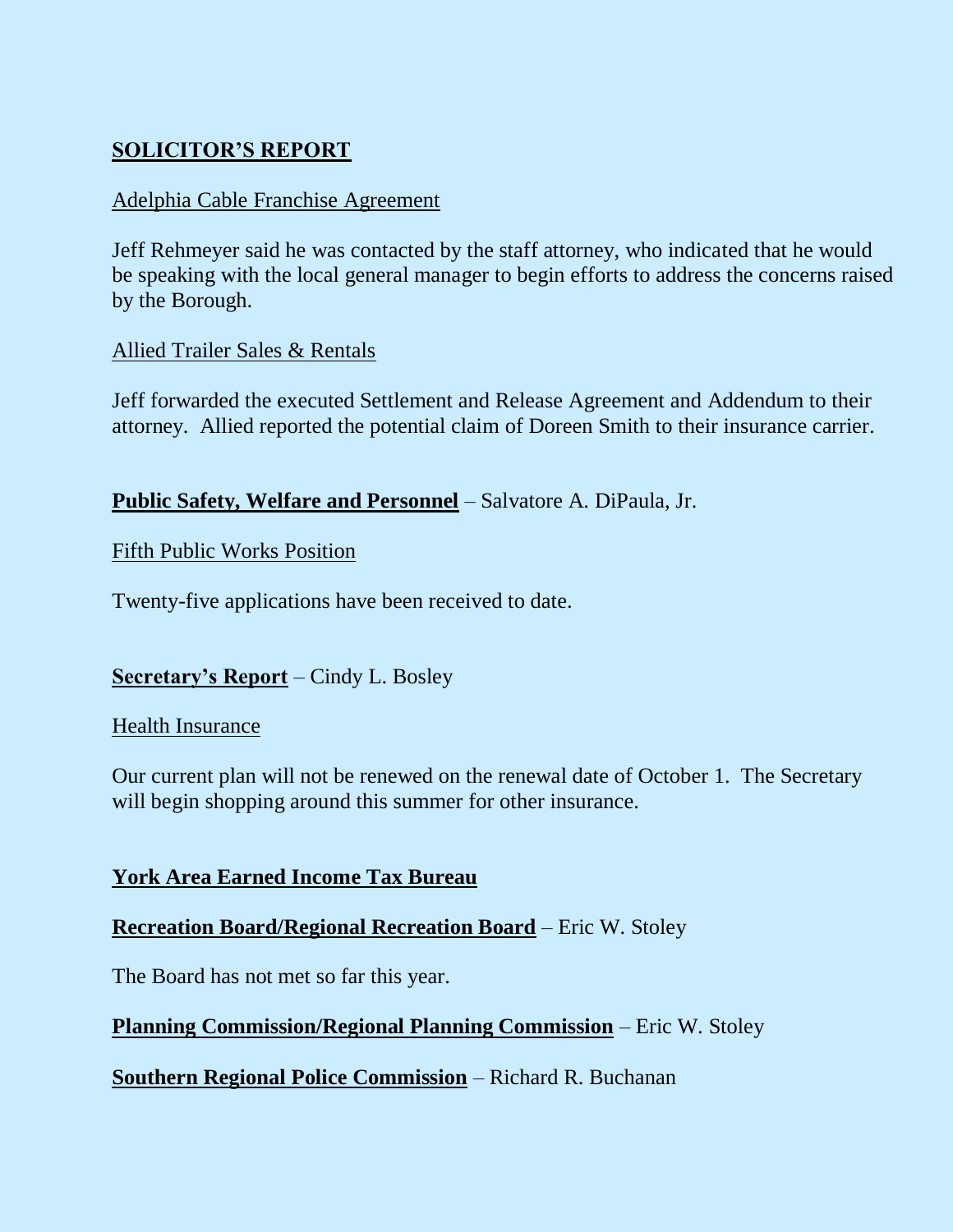# **SOLICITOR'S REPORT**

## Adelphia Cable Franchise Agreement

Jeff Rehmeyer said he was contacted by the staff attorney, who indicated that he would be speaking with the local general manager to begin efforts to address the concerns raised by the Borough.

## Allied Trailer Sales & Rentals

Jeff forwarded the executed Settlement and Release Agreement and Addendum to their attorney. Allied reported the potential claim of Doreen Smith to their insurance carrier.

**Public Safety, Welfare and Personnel** – Salvatore A. DiPaula, Jr.

## Fifth Public Works Position

Twenty-five applications have been received to date.

## **Secretary's Report** – Cindy L. Bosley

## Health Insurance

Our current plan will not be renewed on the renewal date of October 1. The Secretary will begin shopping around this summer for other insurance.

## **York Area Earned Income Tax Bureau**

## **Recreation Board/Regional Recreation Board** – Eric W. Stoley

The Board has not met so far this year.

## **Planning Commission/Regional Planning Commission** – Eric W. Stoley

**Southern Regional Police Commission** – Richard R. Buchanan